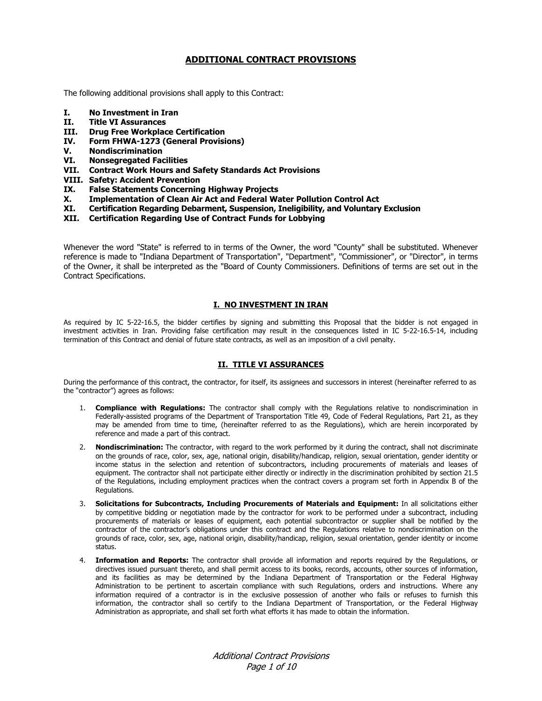# **ADDITIONAL CONTRACT PROVISIONS**

The following additional provisions shall apply to this Contract:

- **I. No Investment in Iran**
- **II. Title VI Assurances**
- **III. Drug Free Workplace Certification**
- **IV. Form FHWA-1273 (General Provisions)**
- **V. Nondiscrimination**
- **VI. Nonsegregated Facilities**
- **VII. Contract Work Hours and Safety Standards Act Provisions**
- **VIII. Safety: Accident Prevention**
- **IX. False Statements Concerning Highway Projects**
- **X. Implementation of Clean Air Act and Federal Water Pollution Control Act**
- **XI. Certification Regarding Debarment, Suspension, Ineligibility, and Voluntary Exclusion**
- **XII. Certification Regarding Use of Contract Funds for Lobbying**

Whenever the word "State" is referred to in terms of the Owner, the word "County" shall be substituted. Whenever reference is made to "Indiana Department of Transportation", "Department", "Commissioner", or "Director", in terms of the Owner, it shall be interpreted as the "Board of County Commissioners. Definitions of terms are set out in the Contract Specifications.

## **I. NO INVESTMENT IN IRAN**

As required by IC 5-22-16.5, the bidder certifies by signing and submitting this Proposal that the bidder is not engaged in investment activities in Iran. Providing false certification may result in the consequences listed in IC 5-22-16.5-14, including termination of this Contract and denial of future state contracts, as well as an imposition of a civil penalty.

# **II. TITLE VI ASSURANCES**

During the performance of this contract, the contractor, for itself, its assignees and successors in interest (hereinafter referred to as the "contractor") agrees as follows:

- 1. **Compliance with Regulations:** The contractor shall comply with the Regulations relative to nondiscrimination in Federally-assisted programs of the Department of Transportation Title 49, Code of Federal Regulations, Part 21, as they may be amended from time to time, (hereinafter referred to as the Regulations), which are herein incorporated by reference and made a part of this contract.
- 2. **Nondiscrimination:** The contractor, with regard to the work performed by it during the contract, shall not discriminate on the grounds of race, color, sex, age, national origin, disability/handicap, religion, sexual orientation, gender identity or income status in the selection and retention of subcontractors, including procurements of materials and leases of equipment. The contractor shall not participate either directly or indirectly in the discrimination prohibited by section 21.5 of the Regulations, including employment practices when the contract covers a program set forth in Appendix B of the Regulations.
- 3. **Solicitations for Subcontracts, Including Procurements of Materials and Equipment:** In all solicitations either by competitive bidding or negotiation made by the contractor for work to be performed under a subcontract, including procurements of materials or leases of equipment, each potential subcontractor or supplier shall be notified by the contractor of the contractor's obligations under this contract and the Regulations relative to nondiscrimination on the grounds of race, color, sex, age, national origin, disability/handicap, religion, sexual orientation, gender identity or income status.
- 4. **Information and Reports:** The contractor shall provide all information and reports required by the Regulations, or directives issued pursuant thereto, and shall permit access to its books, records, accounts, other sources of information, and its facilities as may be determined by the Indiana Department of Transportation or the Federal Highway Administration to be pertinent to ascertain compliance with such Regulations, orders and instructions. Where any information required of a contractor is in the exclusive possession of another who fails or refuses to furnish this information, the contractor shall so certify to the Indiana Department of Transportation, or the Federal Highway Administration as appropriate, and shall set forth what efforts it has made to obtain the information.

Additional Contract Provisions Page 1 of 10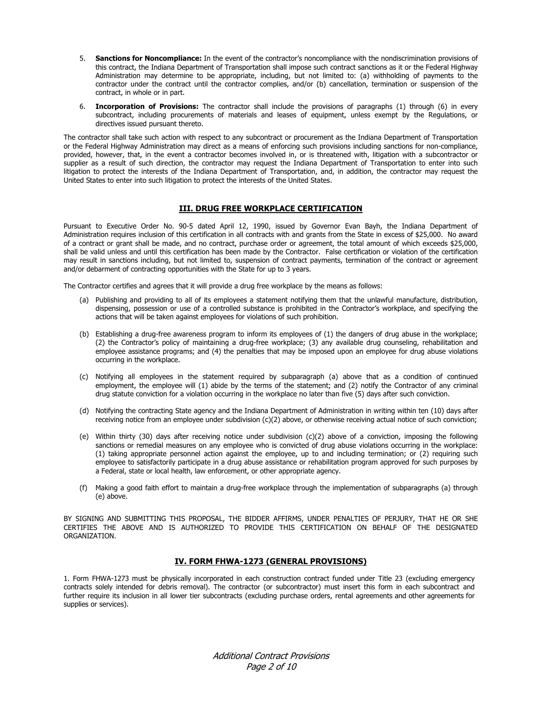- 5. **Sanctions for Noncompliance:** In the event of the contractor's noncompliance with the nondiscrimination provisions of this contract, the Indiana Department of Transportation shall impose such contract sanctions as it or the Federal Highway Administration may determine to be appropriate, including, but not limited to: (a) withholding of payments to the contractor under the contract until the contractor complies, and/or (b) cancellation, termination or suspension of the contract, in whole or in part.
- 6. **Incorporation of Provisions:** The contractor shall include the provisions of paragraphs (1) through (6) in every subcontract, including procurements of materials and leases of equipment, unless exempt by the Regulations, or directives issued pursuant thereto.

The contractor shall take such action with respect to any subcontract or procurement as the Indiana Department of Transportation or the Federal Highway Administration may direct as a means of enforcing such provisions including sanctions for non-compliance, provided, however, that, in the event a contractor becomes involved in, or is threatened with, litigation with a subcontractor or supplier as a result of such direction, the contractor may request the Indiana Department of Transportation to enter into such litigation to protect the interests of the Indiana Department of Transportation, and, in addition, the contractor may request the United States to enter into such litigation to protect the interests of the United States.

# **III. DRUG FREE WORKPLACE CERTIFICATION**

Pursuant to Executive Order No. 90-5 dated April 12, 1990, issued by Governor Evan Bayh, the Indiana Department of Administration requires inclusion of this certification in all contracts with and grants from the State in excess of \$25,000. No award of a contract or grant shall be made, and no contract, purchase order or agreement, the total amount of which exceeds \$25,000, shall be valid unless and until this certification has been made by the Contractor. False certification or violation of the certification may result in sanctions including, but not limited to, suspension of contract payments, termination of the contract or agreement and/or debarment of contracting opportunities with the State for up to 3 years.

The Contractor certifies and agrees that it will provide a drug free workplace by the means as follows:

- (a) Publishing and providing to all of its employees a statement notifying them that the unlawful manufacture, distribution, dispensing, possession or use of a controlled substance is prohibited in the Contractor's workplace, and specifying the actions that will be taken against employees for violations of such prohibition.
- (b) Establishing a drug-free awareness program to inform its employees of (1) the dangers of drug abuse in the workplace; (2) the Contractor's policy of maintaining a drug-free workplace; (3) any available drug counseling, rehabilitation and employee assistance programs; and (4) the penalties that may be imposed upon an employee for drug abuse violations occurring in the workplace.
- (c) Notifying all employees in the statement required by subparagraph (a) above that as a condition of continued employment, the employee will (1) abide by the terms of the statement; and (2) notify the Contractor of any criminal drug statute conviction for a violation occurring in the workplace no later than five (5) days after such conviction.
- (d) Notifying the contracting State agency and the Indiana Department of Administration in writing within ten (10) days after receiving notice from an employee under subdivision (c)(2) above, or otherwise receiving actual notice of such conviction;
- (e) Within thirty (30) days after receiving notice under subdivision (c)(2) above of a conviction, imposing the following sanctions or remedial measures on any employee who is convicted of drug abuse violations occurring in the workplace: (1) taking appropriate personnel action against the employee, up to and including termination; or (2) requiring such employee to satisfactorily participate in a drug abuse assistance or rehabilitation program approved for such purposes by a Federal, state or local health, law enforcement, or other appropriate agency.
- (f) Making a good faith effort to maintain a drug-free workplace through the implementation of subparagraphs (a) through (e) above.

BY SIGNING AND SUBMITTING THIS PROPOSAL, THE BIDDER AFFIRMS, UNDER PENALTIES OF PERJURY, THAT HE OR SHE CERTIFIES THE ABOVE AND IS AUTHORIZED TO PROVIDE THIS CERTIFICATION ON BEHALF OF THE DESIGNATED ORGANIZATION.

# **IV. FORM FHWA-1273 (GENERAL PROVISIONS)**

1. Form FHWA-1273 must be physically incorporated in each construction contract funded under Title 23 (excluding emergency contracts solely intended for debris removal). The contractor (or subcontractor) must insert this form in each subcontract and further require its inclusion in all lower tier subcontracts (excluding purchase orders, rental agreements and other agreements for supplies or services).

> Additional Contract Provisions Page 2 of 10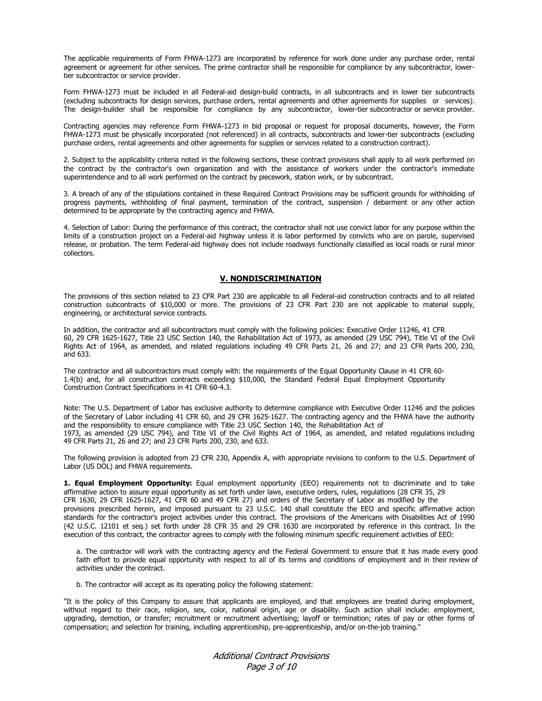The applicable requirements of Form FHWA-1273 are incorporated by reference for work done under any purchase order, rental agreement or agreement for other services. The prime contractor shall be responsible for compliance by any subcontractor, lowertier subcontractor or service provider.

Form FHWA-1273 must be included in all Federal-aid design-build contracts, in all subcontracts and in lower tier subcontracts (excluding subcontracts for design services, purchase orders, rental agreements and other agreements for supplies or services). The design-builder shall be responsible for compliance by any subcontractor, lower-tier subcontractor or service provider.

Contracting agencies may reference Form FHWA-1273 in bid proposal or request for proposal documents, however, the Form FHWA-1273 must be physically incorporated (not referenced) in all contracts, subcontracts and lower-tier subcontracts (excluding purchase orders, rental agreements and other agreements for supplies or services related to a construction contract).

2. Subject to the applicability criteria noted in the following sections, these contract provisions shall apply to all work performed on the contract by the contractor's own organization and with the assistance of workers under the contractor's immediate superintendence and to all work performed on the contract by piecework, station work, or by subcontract.

3. A breach of any of the stipulations contained in these Required Contract Provisions may be sufficient grounds for withholding of progress payments, withholding of final payment, termination of the contract, suspension / debarment or any other action determined to be appropriate by the contracting agency and FHWA.

4. Selection of Labor: During the performance of this contract, the contractor shall not use convict labor for any purpose within the limits of a construction project on a Federal-aid highway unless it is labor performed by convicts who are on parole, supervised release, or probation. The term Federal-aid highway does not include roadways functionally classified as local roads or rural minor collectors.

### **V. NONDISCRIMINATION**

The provisions of this section related to 23 CFR Part 230 are applicable to all Federal-aid construction contracts and to all related construction subcontracts of \$10,000 or more. The provisions of 23 CFR Part 230 are not applicable to material supply, engineering, or architectural service contracts.

In addition, the contractor and all subcontractors must comply with the following policies: Executive Order 11246, 41 CFR 60, 29 CFR 1625-1627, Title 23 USC Section 140, the Rehabilitation Act of 1973, as amended (29 USC 794), Title VI of the Civil Rights Act of 1964, as amended, and related regulations including 49 CFR Parts 21, 26 and 27; and 23 CFR Parts 200, 230, and 633.

The contractor and all subcontractors must comply with: the requirements of the Equal Opportunity Clause in 41 CFR 60- 1.4(b) and, for all construction contracts exceeding \$10,000, the Standard Federal Equal Employment Opportunity Construction Contract Specifications in 41 CFR 60-4.3.

Note: The U.S. Department of Labor has exclusive authority to determine compliance with Executive Order 11246 and the policies of the Secretary of Labor including 41 CFR 60, and 29 CFR 1625-1627. The contracting agency and the FHWA have the authority and the responsibility to ensure compliance with Title 23 USC Section 140, the Rehabilitation Act of 1973, as amended (29 USC 794), and Title VI of the Civil Rights Act of 1964, as amended, and related regulations including 49 CFR Parts 21, 26 and 27; and 23 CFR Parts 200, 230, and 633.

The following provision is adopted from 23 CFR 230, Appendix A, with appropriate revisions to conform to the U.S. Department of Labor (US DOL) and FHWA requirements.

**1. Equal Employment Opportunity:** Equal employment opportunity (EEO) requirements not to discriminate and to take affirmative action to assure equal opportunity as set forth under laws, executive orders, rules, regulations (28 CFR 35, 29 CFR 1630, 29 CFR 1625-1627, 41 CFR 60 and 49 CFR 27) and orders of the Secretary of Labor as modified by the provisions prescribed herein, and imposed pursuant to 23 U.S.C. 140 shall constitute the EEO and specific affirmative action standards for the contractor's project activities under this contract. The provisions of the Americans with Disabilities Act of 1990 (42 U.S.C. 12101 et seq.) set forth under 28 CFR 35 and 29 CFR 1630 are incorporated by reference in this contract. In the execution of this contract, the contractor agrees to comply with the following minimum specific requirement activities of EEO:

a. The contractor will work with the contracting agency and the Federal Government to ensure that it has made every good faith effort to provide equal opportunity with respect to all of its terms and conditions of employment and in their review of activities under the contract.

b. The contractor will accept as its operating policy the following statement:

"It is the policy of this Company to assure that applicants are employed, and that employees are treated during employment, without regard to their race, religion, sex, color, national origin, age or disability. Such action shall include: employment, upgrading, demotion, or transfer; recruitment or recruitment advertising; layoff or termination; rates of pay or other forms of compensation; and selection for training, including apprenticeship, pre-apprenticeship, and/or on-the-job training."

> Additional Contract Provisions Page 3 of 10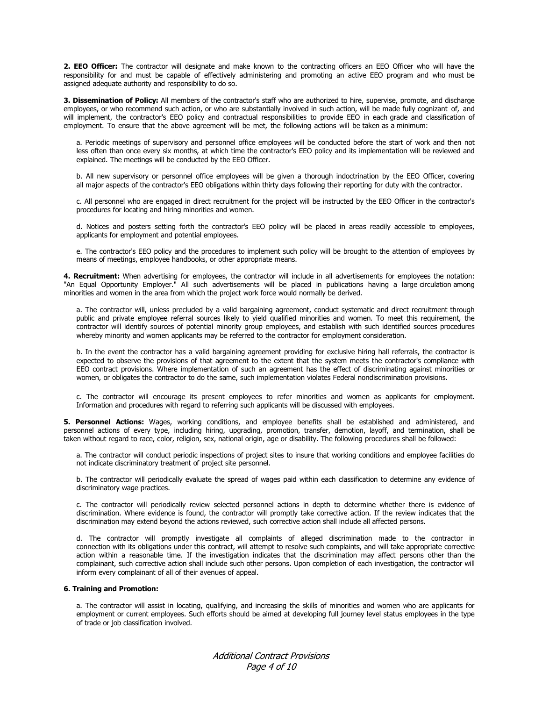**2. EEO Officer:** The contractor will designate and make known to the contracting officers an EEO Officer who will have the responsibility for and must be capable of effectively administering and promoting an active EEO program and who must be assigned adequate authority and responsibility to do so.

**3. Dissemination of Policy:** All members of the contractor's staff who are authorized to hire, supervise, promote, and discharge employees, or who recommend such action, or who are substantially involved in such action, will be made fully cognizant of, and will implement, the contractor's EEO policy and contractual responsibilities to provide EEO in each grade and classification of employment. To ensure that the above agreement will be met, the following actions will be taken as a minimum:

a. Periodic meetings of supervisory and personnel office employees will be conducted before the start of work and then not less often than once every six months, at which time the contractor's EEO policy and its implementation will be reviewed and explained. The meetings will be conducted by the EEO Officer.

b. All new supervisory or personnel office employees will be given a thorough indoctrination by the EEO Officer, covering all major aspects of the contractor's EEO obligations within thirty days following their reporting for duty with the contractor.

c. All personnel who are engaged in direct recruitment for the project will be instructed by the EEO Officer in the contractor's procedures for locating and hiring minorities and women.

d. Notices and posters setting forth the contractor's EEO policy will be placed in areas readily accessible to employees, applicants for employment and potential employees.

e. The contractor's EEO policy and the procedures to implement such policy will be brought to the attention of employees by means of meetings, employee handbooks, or other appropriate means.

**4. Recruitment:** When advertising for employees, the contractor will include in all advertisements for employees the notation: "An Equal Opportunity Employer." All such advertisements will be placed in publications having a large circulation among minorities and women in the area from which the project work force would normally be derived.

a. The contractor will, unless precluded by a valid bargaining agreement, conduct systematic and direct recruitment through public and private employee referral sources likely to yield qualified minorities and women. To meet this requirement, the contractor will identify sources of potential minority group employees, and establish with such identified sources procedures whereby minority and women applicants may be referred to the contractor for employment consideration.

b. In the event the contractor has a valid bargaining agreement providing for exclusive hiring hall referrals, the contractor is expected to observe the provisions of that agreement to the extent that the system meets the contractor's compliance with EEO contract provisions. Where implementation of such an agreement has the effect of discriminating against minorities or women, or obligates the contractor to do the same, such implementation violates Federal nondiscrimination provisions.

c. The contractor will encourage its present employees to refer minorities and women as applicants for employment. Information and procedures with regard to referring such applicants will be discussed with employees.

**5. Personnel Actions:** Wages, working conditions, and employee benefits shall be established and administered, and personnel actions of every type, including hiring, upgrading, promotion, transfer, demotion, layoff, and termination, shall be taken without regard to race, color, religion, sex, national origin, age or disability. The following procedures shall be followed:

a. The contractor will conduct periodic inspections of project sites to insure that working conditions and employee facilities do not indicate discriminatory treatment of project site personnel.

b. The contractor will periodically evaluate the spread of wages paid within each classification to determine any evidence of discriminatory wage practices.

c. The contractor will periodically review selected personnel actions in depth to determine whether there is evidence of discrimination. Where evidence is found, the contractor will promptly take corrective action. If the review indicates that the discrimination may extend beyond the actions reviewed, such corrective action shall include all affected persons.

d. The contractor will promptly investigate all complaints of alleged discrimination made to the contractor in connection with its obligations under this contract, will attempt to resolve such complaints, and will take appropriate corrective action within a reasonable time. If the investigation indicates that the discrimination may affect persons other than the complainant, such corrective action shall include such other persons. Upon completion of each investigation, the contractor will inform every complainant of all of their avenues of appeal.

## **6. Training and Promotion:**

a. The contractor will assist in locating, qualifying, and increasing the skills of minorities and women who are applicants for employment or current employees. Such efforts should be aimed at developing full journey level status employees in the type of trade or job classification involved.

> Additional Contract Provisions Page 4 of 10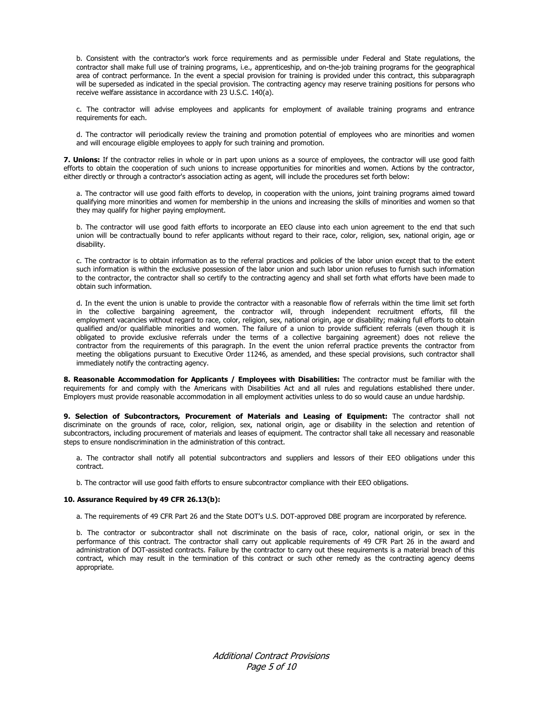b. Consistent with the contractor's work force requirements and as permissible under Federal and State regulations, the contractor shall make full use of training programs, i.e., apprenticeship, and on-the-job training programs for the geographical area of contract performance. In the event a special provision for training is provided under this contract, this subparagraph will be superseded as indicated in the special provision. The contracting agency may reserve training positions for persons who receive welfare assistance in accordance with 23 U.S.C. 140(a).

c. The contractor will advise employees and applicants for employment of available training programs and entrance requirements for each.

d. The contractor will periodically review the training and promotion potential of employees who are minorities and women and will encourage eligible employees to apply for such training and promotion.

**7. Unions:** If the contractor relies in whole or in part upon unions as a source of employees, the contractor will use good faith efforts to obtain the cooperation of such unions to increase opportunities for minorities and women. Actions by the contractor, either directly or through a contractor's association acting as agent, will include the procedures set forth below:

a. The contractor will use good faith efforts to develop, in cooperation with the unions, joint training programs aimed toward qualifying more minorities and women for membership in the unions and increasing the skills of minorities and women so that they may qualify for higher paying employment.

b. The contractor will use good faith efforts to incorporate an EEO clause into each union agreement to the end that such union will be contractually bound to refer applicants without regard to their race, color, religion, sex, national origin, age or disability.

c. The contractor is to obtain information as to the referral practices and policies of the labor union except that to the extent such information is within the exclusive possession of the labor union and such labor union refuses to furnish such information to the contractor, the contractor shall so certify to the contracting agency and shall set forth what efforts have been made to obtain such information.

d. In the event the union is unable to provide the contractor with a reasonable flow of referrals within the time limit set forth in the collective bargaining agreement, the contractor will, through independent recruitment efforts, fill the employment vacancies without regard to race, color, religion, sex, national origin, age or disability; making full efforts to obtain qualified and/or qualifiable minorities and women. The failure of a union to provide sufficient referrals (even though it is obligated to provide exclusive referrals under the terms of a collective bargaining agreement) does not relieve the contractor from the requirements of this paragraph. In the event the union referral practice prevents the contractor from meeting the obligations pursuant to Executive Order 11246, as amended, and these special provisions, such contractor shall immediately notify the contracting agency.

**8. Reasonable Accommodation for Applicants / Employees with Disabilities:** The contractor must be familiar with the requirements for and comply with the Americans with Disabilities Act and all rules and regulations established there under. Employers must provide reasonable accommodation in all employment activities unless to do so would cause an undue hardship.

**9. Selection of Subcontractors, Procurement of Materials and Leasing of Equipment:** The contractor shall not discriminate on the grounds of race, color, religion, sex, national origin, age or disability in the selection and retention of subcontractors, including procurement of materials and leases of equipment. The contractor shall take all necessary and reasonable steps to ensure nondiscrimination in the administration of this contract.

a. The contractor shall notify all potential subcontractors and suppliers and lessors of their EEO obligations under this contract.

b. The contractor will use good faith efforts to ensure subcontractor compliance with their EEO obligations.

## **10. Assurance Required by 49 CFR 26.13(b):**

a. The requirements of 49 CFR Part 26 and the State DOT's U.S. DOT-approved DBE program are incorporated by reference.

b. The contractor or subcontractor shall not discriminate on the basis of race, color, national origin, or sex in the performance of this contract. The contractor shall carry out applicable requirements of 49 CFR Part 26 in the award and administration of DOT-assisted contracts. Failure by the contractor to carry out these requirements is a material breach of this contract, which may result in the termination of this contract or such other remedy as the contracting agency deems appropriate.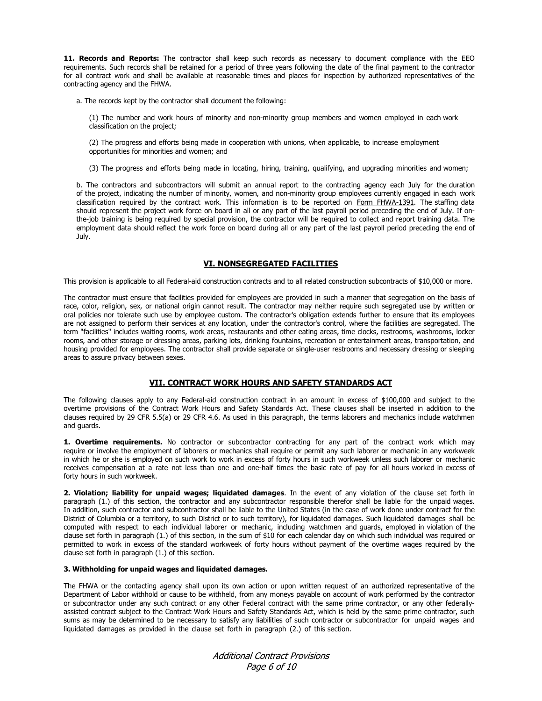11. Records and Reports: The contractor shall keep such records as necessary to document compliance with the EEO requirements. Such records shall be retained for a period of three years following the date of the final payment to the contractor for all contract work and shall be available at reasonable times and places for inspection by authorized representatives of the contracting agency and the FHWA.

a. The records kept by the contractor shall document the following:

(1) The number and work hours of minority and non-minority group members and women employed in each work classification on the project;

(2) The progress and efforts being made in cooperation with unions, when applicable, to increase employment opportunities for minorities and women; and

(3) The progress and efforts being made in locating, hiring, training, qualifying, and upgrading minorities and women;

b. The contractors and subcontractors will submit an annual report to the contracting agency each July for the duration of the project, indicating the number of minority, women, and non-minority group employees currently engaged in each work classification required by the contract work. This information is to be reported on Form FHWA-1391. The staffing data should represent the project work force on board in all or any part of the last payroll period preceding the end of July. If onthe-job training is being required by special provision, the contractor will be required to collect and report training data. The employment data should reflect the work force on board during all or any part of the last payroll period preceding the end of July.

## **VI. NONSEGREGATED FACILITIES**

This provision is applicable to all Federal-aid construction contracts and to all related construction subcontracts of \$10,000 or more.

The contractor must ensure that facilities provided for employees are provided in such a manner that segregation on the basis of race, color, religion, sex, or national origin cannot result. The contractor may neither require such segregated use by written or oral policies nor tolerate such use by employee custom. The contractor's obligation extends further to ensure that its employees are not assigned to perform their services at any location, under the contractor's control, where the facilities are segregated. The term "facilities" includes waiting rooms, work areas, restaurants and other eating areas, time clocks, restrooms, washrooms, locker rooms, and other storage or dressing areas, parking lots, drinking fountains, recreation or entertainment areas, transportation, and housing provided for employees. The contractor shall provide separate or single-user restrooms and necessary dressing or sleeping areas to assure privacy between sexes.

# **VII. CONTRACT WORK HOURS AND SAFETY STANDARDS ACT**

The following clauses apply to any Federal-aid construction contract in an amount in excess of \$100,000 and subject to the overtime provisions of the Contract Work Hours and Safety Standards Act. These clauses shall be inserted in addition to the clauses required by 29 CFR 5.5(a) or 29 CFR 4.6. As used in this paragraph, the terms laborers and mechanics include watchmen and guards.

**1. Overtime requirements.** No contractor or subcontractor contracting for any part of the contract work which may require or involve the employment of laborers or mechanics shall require or permit any such laborer or mechanic in any workweek in which he or she is employed on such work to work in excess of forty hours in such workweek unless such laborer or mechanic receives compensation at a rate not less than one and one-half times the basic rate of pay for all hours worked in excess of forty hours in such workweek.

**2. Violation; liability for unpaid wages; liquidated damages**. In the event of any violation of the clause set forth in paragraph (1.) of this section, the contractor and any subcontractor responsible therefor shall be liable for the unpaid wages. In addition, such contractor and subcontractor shall be liable to the United States (in the case of work done under contract for the District of Columbia or a territory, to such District or to such territory), for liquidated damages. Such liquidated damages shall be computed with respect to each individual laborer or mechanic, including watchmen and guards, employed in violation of the clause set forth in paragraph (1.) of this section, in the sum of \$10 for each calendar day on which such individual was required or permitted to work in excess of the standard workweek of forty hours without payment of the overtime wages required by the clause set forth in paragraph (1.) of this section.

#### **3. Withholding for unpaid wages and liquidated damages.**

The FHWA or the contacting agency shall upon its own action or upon written request of an authorized representative of the Department of Labor withhold or cause to be withheld, from any moneys payable on account of work performed by the contractor or subcontractor under any such contract or any other Federal contract with the same prime contractor, or any other federallyassisted contract subject to the Contract Work Hours and Safety Standards Act, which is held by the same prime contractor, such sums as may be determined to be necessary to satisfy any liabilities of such contractor or subcontractor for unpaid wages and liquidated damages as provided in the clause set forth in paragraph (2.) of this section.

> Additional Contract Provisions Page 6 of 10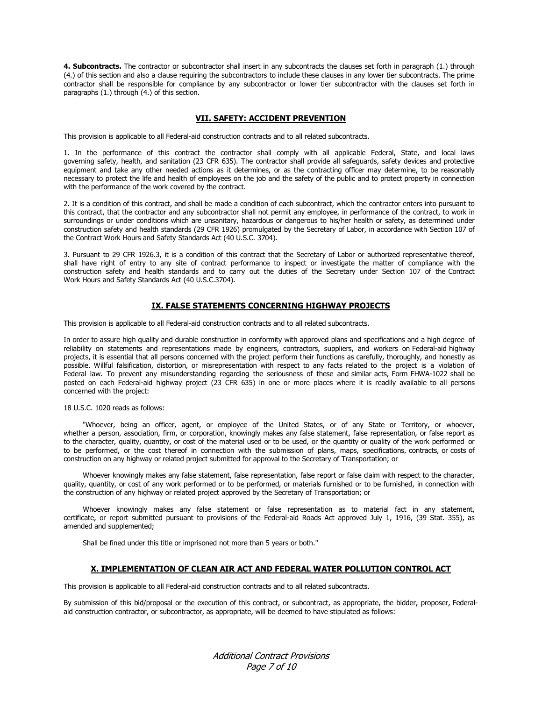**4. Subcontracts.** The contractor or subcontractor shall insert in any subcontracts the clauses set forth in paragraph (1.) through (4.) of this section and also a clause requiring the subcontractors to include these clauses in any lower tier subcontracts. The prime contractor shall be responsible for compliance by any subcontractor or lower tier subcontractor with the clauses set forth in paragraphs (1.) through (4.) of this section.

## **VII. SAFETY: ACCIDENT PREVENTION**

This provision is applicable to all Federal-aid construction contracts and to all related subcontracts.

1. In the performance of this contract the contractor shall comply with all applicable Federal, State, and local laws governing safety, health, and sanitation (23 CFR 635). The contractor shall provide all safeguards, safety devices and protective equipment and take any other needed actions as it determines, or as the contracting officer may determine, to be reasonably necessary to protect the life and health of employees on the job and the safety of the public and to protect property in connection with the performance of the work covered by the contract.

2. It is a condition of this contract, and shall be made a condition of each subcontract, which the contractor enters into pursuant to this contract, that the contractor and any subcontractor shall not permit any employee, in performance of the contract, to work in surroundings or under conditions which are unsanitary, hazardous or dangerous to his/her health or safety, as determined under construction safety and health standards (29 CFR 1926) promulgated by the Secretary of Labor, in accordance with Section 107 of the Contract Work Hours and Safety Standards Act (40 U.S.C. 3704).

3. Pursuant to 29 CFR 1926.3, it is a condition of this contract that the Secretary of Labor or authorized representative thereof, shall have right of entry to any site of contract performance to inspect or investigate the matter of compliance with the construction safety and health standards and to carry out the duties of the Secretary under Section 107 of the Contract Work Hours and Safety Standards Act (40 U.S.C.3704).

## **IX. FALSE STATEMENTS CONCERNING HIGHWAY PROJECTS**

This provision is applicable to all Federal-aid construction contracts and to all related subcontracts.

In order to assure high quality and durable construction in conformity with approved plans and specifications and a high degree of reliability on statements and representations made by engineers, contractors, suppliers, and workers on Federal-aid highway projects, it is essential that all persons concerned with the project perform their functions as carefully, thoroughly, and honestly as possible. Willful falsification, distortion, or misrepresentation with respect to any facts related to the project is a violation of Federal law. To prevent any misunderstanding regarding the seriousness of these and similar acts, Form FHWA-1022 shall be posted on each Federal-aid highway project (23 CFR 635) in one or more places where it is readily available to all persons concerned with the project:

## 18 U.S.C. 1020 reads as follows:

"Whoever, being an officer, agent, or employee of the United States, or of any State or Territory, or whoever, whether a person, association, firm, or corporation, knowingly makes any false statement, false representation, or false report as to the character, quality, quantity, or cost of the material used or to be used, or the quantity or quality of the work performed or to be performed, or the cost thereof in connection with the submission of plans, maps, specifications, contracts, or costs of construction on any highway or related project submitted for approval to the Secretary of Transportation; or

Whoever knowingly makes any false statement, false representation, false report or false claim with respect to the character, quality, quantity, or cost of any work performed or to be performed, or materials furnished or to be furnished, in connection with the construction of any highway or related project approved by the Secretary of Transportation; or

Whoever knowingly makes any false statement or false representation as to material fact in any statement, certificate, or report submitted pursuant to provisions of the Federal-aid Roads Act approved July 1, 1916, (39 Stat. 355), as amended and supplemented;

Shall be fined under this title or imprisoned not more than 5 years or both."

### **X. IMPLEMENTATION OF CLEAN AIR ACT AND FEDERAL WATER POLLUTION CONTROL ACT**

This provision is applicable to all Federal-aid construction contracts and to all related subcontracts.

By submission of this bid/proposal or the execution of this contract, or subcontract, as appropriate, the bidder, proposer, Federalaid construction contractor, or subcontractor, as appropriate, will be deemed to have stipulated as follows:

> Additional Contract Provisions Page 7 of 10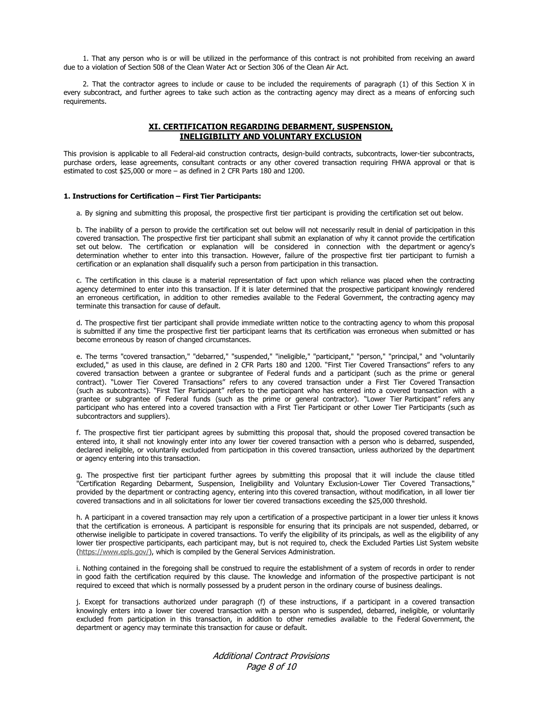1. That any person who is or will be utilized in the performance of this contract is not prohibited from receiving an award due to a violation of Section 508 of the Clean Water Act or Section 306 of the Clean Air Act.

2. That the contractor agrees to include or cause to be included the requirements of paragraph (1) of this Section X in every subcontract, and further agrees to take such action as the contracting agency may direct as a means of enforcing such requirements.

# **XI. CERTIFICATION REGARDING DEBARMENT, SUSPENSION, INELIGIBILITY AND VOLUNTARY EXCLUSION**

This provision is applicable to all Federal-aid construction contracts, design-build contracts, subcontracts, lower-tier subcontracts, purchase orders, lease agreements, consultant contracts or any other covered transaction requiring FHWA approval or that is estimated to cost \$25,000 or more – as defined in 2 CFR Parts 180 and 1200.

#### **1. Instructions for Certification – First Tier Participants:**

a. By signing and submitting this proposal, the prospective first tier participant is providing the certification set out below.

b. The inability of a person to provide the certification set out below will not necessarily result in denial of participation in this covered transaction. The prospective first tier participant shall submit an explanation of why it cannot provide the certification set out below. The certification or explanation will be considered in connection with the department or agency's determination whether to enter into this transaction. However, failure of the prospective first tier participant to furnish a certification or an explanation shall disqualify such a person from participation in this transaction.

c. The certification in this clause is a material representation of fact upon which reliance was placed when the contracting agency determined to enter into this transaction. If it is later determined that the prospective participant knowingly rendered an erroneous certification, in addition to other remedies available to the Federal Government, the contracting agency may terminate this transaction for cause of default.

d. The prospective first tier participant shall provide immediate written notice to the contracting agency to whom this proposal is submitted if any time the prospective first tier participant learns that its certification was erroneous when submitted or has become erroneous by reason of changed circumstances.

e. The terms "covered transaction," "debarred," "suspended," "ineligible," "participant," "person," "principal," and "voluntarily excluded," as used in this clause, are defined in 2 CFR Parts 180 and 1200. "First Tier Covered Transactions" refers to any covered transaction between a grantee or subgrantee of Federal funds and a participant (such as the prime or general contract). "Lower Tier Covered Transactions" refers to any covered transaction under a First Tier Covered Transaction (such as subcontracts). "First Tier Participant" refers to the participant who has entered into a covered transaction with a grantee or subgrantee of Federal funds (such as the prime or general contractor). "Lower Tier Participant" refers any participant who has entered into a covered transaction with a First Tier Participant or other Lower Tier Participants (such as subcontractors and suppliers).

f. The prospective first tier participant agrees by submitting this proposal that, should the proposed covered transaction be entered into, it shall not knowingly enter into any lower tier covered transaction with a person who is debarred, suspended, declared ineligible, or voluntarily excluded from participation in this covered transaction, unless authorized by the department or agency entering into this transaction.

g. The prospective first tier participant further agrees by submitting this proposal that it will include the clause titled "Certification Regarding Debarment, Suspension, Ineligibility and Voluntary Exclusion-Lower Tier Covered Transactions," provided by the department or contracting agency, entering into this covered transaction, without modification, in all lower tier covered transactions and in all solicitations for lower tier covered transactions exceeding the \$25,000 threshold.

h. A participant in a covered transaction may rely upon a certification of a prospective participant in a lower tier unless it knows that the certification is erroneous. A participant is responsible for ensuring that its principals are not suspended, debarred, or otherwise ineligible to participate in covered transactions. To verify the eligibility of its principals, as well as the eligibility of any lower tier prospective participants, each participant may, but is not required to, check the Excluded Parties List System website (https://www.epls.gov/), which is compiled by the General Services Administration.

i. Nothing contained in the foregoing shall be construed to require the establishment of a system of records in order to render in good faith the certification required by this clause. The knowledge and information of the prospective participant is not required to exceed that which is normally possessed by a prudent person in the ordinary course of business dealings.

j. Except for transactions authorized under paragraph (f) of these instructions, if a participant in a covered transaction knowingly enters into a lower tier covered transaction with a person who is suspended, debarred, ineligible, or voluntarily excluded from participation in this transaction, in addition to other remedies available to the Federal Government, the department or agency may terminate this transaction for cause or default.

> Additional Contract Provisions Page 8 of 10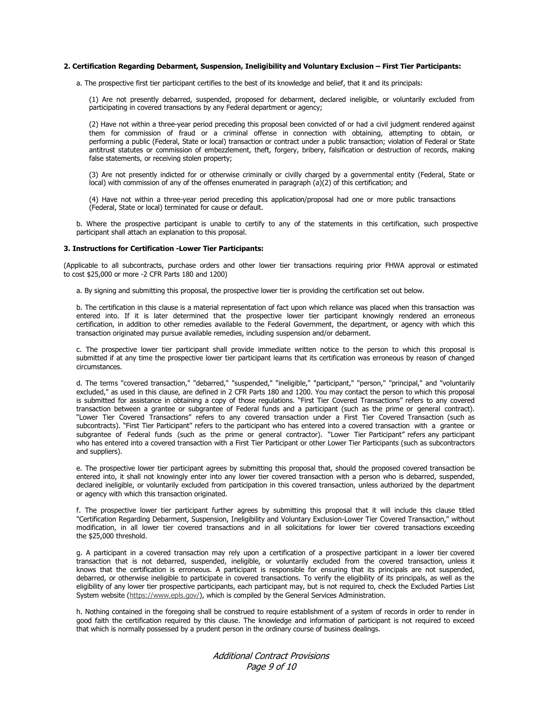#### **2. Certification Regarding Debarment, Suspension, Ineligibility and Voluntary Exclusion – First Tier Participants:**

a. The prospective first tier participant certifies to the best of its knowledge and belief, that it and its principals:

(1) Are not presently debarred, suspended, proposed for debarment, declared ineligible, or voluntarily excluded from participating in covered transactions by any Federal department or agency;

(2) Have not within a three-year period preceding this proposal been convicted of or had a civil judgment rendered against them for commission of fraud or a criminal offense in connection with obtaining, attempting to obtain, or performing a public (Federal, State or local) transaction or contract under a public transaction; violation of Federal or State antitrust statutes or commission of embezzlement, theft, forgery, bribery, falsification or destruction of records, making false statements, or receiving stolen property;

(3) Are not presently indicted for or otherwise criminally or civilly charged by a governmental entity (Federal, State or  $\overline{\text{local}}$ ) with commission of any of the offenses enumerated in paragraph (a)(2) of this certification; and

(4) Have not within a three-year period preceding this application/proposal had one or more public transactions (Federal, State or local) terminated for cause or default.

b. Where the prospective participant is unable to certify to any of the statements in this certification, such prospective participant shall attach an explanation to this proposal.

#### **3. Instructions for Certification -Lower Tier Participants:**

(Applicable to all subcontracts, purchase orders and other lower tier transactions requiring prior FHWA approval or estimated to cost \$25,000 or more -2 CFR Parts 180 and 1200)

a. By signing and submitting this proposal, the prospective lower tier is providing the certification set out below.

b. The certification in this clause is a material representation of fact upon which reliance was placed when this transaction was entered into. If it is later determined that the prospective lower tier participant knowingly rendered an erroneous certification, in addition to other remedies available to the Federal Government, the department, or agency with which this transaction originated may pursue available remedies, including suspension and/or debarment.

c. The prospective lower tier participant shall provide immediate written notice to the person to which this proposal is submitted if at any time the prospective lower tier participant learns that its certification was erroneous by reason of changed circumstances.

d. The terms "covered transaction," "debarred," "suspended," "ineligible," "participant," "person," "principal," and "voluntarily excluded," as used in this clause, are defined in 2 CFR Parts 180 and 1200. You may contact the person to which this proposal is submitted for assistance in obtaining a copy of those regulations. "First Tier Covered Transactions" refers to any covered transaction between a grantee or subgrantee of Federal funds and a participant (such as the prime or general contract). "Lower Tier Covered Transactions" refers to any covered transaction under a First Tier Covered Transaction (such as subcontracts). "First Tier Participant" refers to the participant who has entered into a covered transaction with a grantee or subgrantee of Federal funds (such as the prime or general contractor). "Lower Tier Participant" refers any participant who has entered into a covered transaction with a First Tier Participant or other Lower Tier Participants (such as subcontractors and suppliers).

e. The prospective lower tier participant agrees by submitting this proposal that, should the proposed covered transaction be entered into, it shall not knowingly enter into any lower tier covered transaction with a person who is debarred, suspended, declared ineligible, or voluntarily excluded from participation in this covered transaction, unless authorized by the department or agency with which this transaction originated.

f. The prospective lower tier participant further agrees by submitting this proposal that it will include this clause titled "Certification Regarding Debarment, Suspension, Ineligibility and Voluntary Exclusion-Lower Tier Covered Transaction," without modification, in all lower tier covered transactions and in all solicitations for lower tier covered transactions exceeding the \$25,000 threshold.

g. A participant in a covered transaction may rely upon a certification of a prospective participant in a lower tier covered transaction that is not debarred, suspended, ineligible, or voluntarily excluded from the covered transaction, unless it knows that the certification is erroneous. A participant is responsible for ensuring that its principals are not suspended, debarred, or otherwise ineligible to participate in covered transactions. To verify the eligibility of its principals, as well as the eligibility of any lower tier prospective participants, each participant may, but is not required to, check the Excluded Parties List System website (https://www.epls.gov/), which is compiled by the General Services Administration.

h. Nothing contained in the foregoing shall be construed to require establishment of a system of records in order to render in good faith the certification required by this clause. The knowledge and information of participant is not required to exceed that which is normally possessed by a prudent person in the ordinary course of business dealings.

> Additional Contract Provisions Page 9 of 10